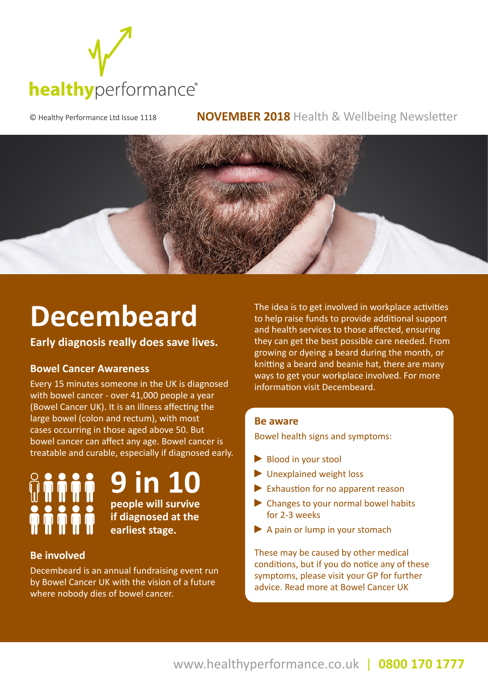

© Healthy Performance Ltd Issue 1118 **NOVEMBER 2018** Health & Wellbeing Newsletter



# **Decembeard**

**Early diagnosis really does save lives.** 

### **Bowel Cancer Awareness**

Every 15 minutes someone in the UK is diagnosed with bowel cancer - over 41,000 people a year (Bowel Cancer UK). It is an illness affecting the large bowel (colon and rectum), with most cases occurring in those aged above 50. But bowel cancer can affect any age. Bowel cancer is treatable and curable, especially if diagnosed early.

**9 in 10 people will survive if diagnosed at the earliest stage.**

### **Be involved**

Decembeard is an annual fundraising event run by Bowel Cancer UK with the vision of a future where nobody dies of bowel cancer.

The idea is to get involved in workplace activities to help raise funds to provide additional support and health services to those affected, ensuring they can get the best possible care needed. From growing or dyeing a beard during the month, or knitting a beard and beanie hat, there are many ways to get your workplace involved. For more information visit Decembeard.

#### **Be aware**

Bowel health signs and symptoms:

- Blood in your stool
- Unexplained weight loss
- Exhaustion for no apparent reason
- ▶ Changes to your normal bowel habits for 2-3 weeks
- A pain or lump in your stomach

These may be caused by other medical conditions, but if you do notice any of these symptoms, please visit your GP for further advice. Read more at Bowel Cancer UK